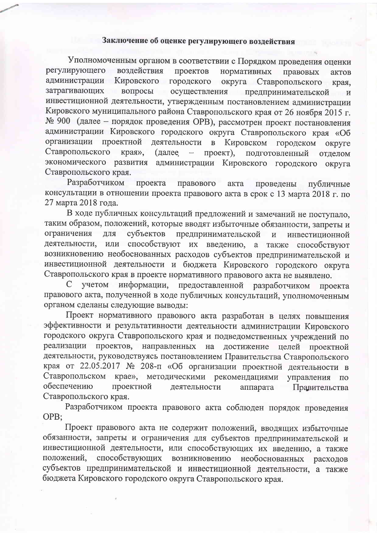## Заключение об оценке регулирующего воздействия

Уполномоченным органом в соответствии с Порядком проведения оценки регулирующего воздействия проектов нормативных правовых актов администрации Кировского городского округа Ставропольского края, затрагивающих вопросы осуществления предпринимательской И инвестиционной деятельности, утвержденным постановлением администрации Кировского муниципального района Ставропольского края от 26 ноября 2015 г. № 900 (далее - порядок проведения ОРВ), рассмотрен проект постановления администрации Кировского городского округа Ставропольского края «Об организации проектной деятельности Кировском  $\mathbf{B}$ городском округе Ставропольского края», (далее проект),  $\sim$ подготовленный отделом экономического развития администрации Кировского городского округа Ставропольского края.

Разработчиком проекта правового акта проведены публичные консультации в отношении проекта правового акта в срок с 13 марта 2018 г. по 27 марта 2018 года.

В ходе публичных консультаций предложений и замечаний не поступало, таким образом, положений, которые вводят избыточные обязанности, запреты и ограничения ДЛЯ субъектов предпринимательской  $\mathbf{H}$ инвестиционной деятельности, или способствуют их введению, а также способствуют возникновению необоснованных расходов субъектов предпринимательской и инвестиционной деятельности и бюджета Кировского городского округа Ставропольского края в проекте нормативного правового акта не выявлено.

 $\mathcal{C}$ учетом информации, предоставленной разработчиком проекта правового акта, полученной в ходе публичных консультаций, уполномоченным органом сделаны следующие выводы:

Проект нормативного правового акта разработан в целях повышения эффективности и результативности деятельности администрации Кировского городского округа Ставропольского края и подведомственных учреждений по реализации проектов, направленных достижение на целей проектной деятельности, руководствуясь постановлением Правительства Ставропольского края от 22.05.2017 № 208-п «Об организации проектной деятельности в Ставропольском крае», методическими рекомендациями управления по обеспечению проектной деятельности аппарата Правительства Ставропольского края.

Разработчиком проекта правового акта соблюден порядок проведения OPB:

Проект правового акта не содержит положений, вводящих избыточные обязанности, запреты и ограничения для субъектов предпринимательской и инвестиционной деятельности, или способствующих их введению, а также способствующих положений, возникновению необоснованных расходов субъектов предпринимательской и инвестиционной деятельности, а также бюджета Кировского городского округа Ставропольского края.